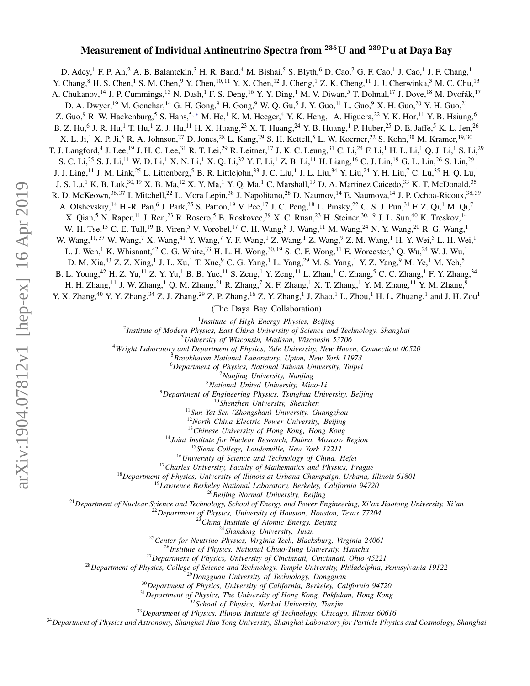## Measurement of Individual Antineutrino Spectra from <sup>235</sup>U and <sup>239</sup>Pu at Daya Bay

D. Adey, <sup>1</sup> F. P. An, <sup>2</sup> A. B. Balantekin, <sup>3</sup> H. R. Band, <sup>4</sup> M. Bishai, <sup>5</sup> S. Blyth, <sup>6</sup> D. Cao, <sup>7</sup> G. F. Cao, <sup>1</sup> J. Cao, <sup>1</sup> J. F. Chang, <sup>1</sup> Y. Chang,  $8$  H. S. Chen,<sup>1</sup> S. M. Chen,<sup>9</sup> Y. Chen,<sup>10, 11</sup> Y. X. Chen,<sup>12</sup> J. Cheng,<sup>1</sup> Z. K. Cheng,<sup>11</sup> J. J. Cherwinka,<sup>3</sup> M. C. Chu,<sup>13</sup> A. Chukanov, <sup>14</sup> J. P. Cummings, <sup>15</sup> N. Dash, <sup>1</sup> F. S. Deng, <sup>16</sup> Y. Y. Ding, <sup>1</sup> M. V. Diwan, <sup>5</sup> T. Dohnal, <sup>17</sup> J. Dove, <sup>18</sup> M. Dvořák, <sup>17</sup> D. A. Dwyer,<sup>19</sup> M. Gonchar,<sup>14</sup> G. H. Gong,<sup>9</sup> H. Gong,<sup>9</sup> W. Q. Gu,<sup>5</sup> J. Y. Guo,<sup>11</sup> L. Guo,<sup>9</sup> X. H. Guo,<sup>20</sup> Y. H. Guo,<sup>21</sup> Z. Guo,<sup>9</sup> R. W. Hackenburg,<sup>5</sup> S. Hans,<sup>5,\*</sup> M. He,<sup>1</sup> K. M. Heeger,<sup>4</sup> Y. K. Heng,<sup>1</sup> A. Higuera,<sup>22</sup> Y. K. Hor,<sup>11</sup> Y. B. Hsiung,<sup>6</sup> B. Z. Hu,<sup>6</sup> J. R. Hu,<sup>1</sup> T. Hu,<sup>1</sup> Z. J. Hu,<sup>11</sup> H. X. Huang,<sup>23</sup> X. T. Huang,<sup>24</sup> Y. B. Huang,<sup>1</sup> P. Huber,<sup>25</sup> D. E. Jaffe,<sup>5</sup> K. L. Jen,<sup>26</sup> X. L. Ji,<sup>1</sup> X. P. Ji,<sup>5</sup> R. A. Johnson,<sup>27</sup> D. Jones,<sup>28</sup> L. Kang,<sup>29</sup> S. H. Kettell,<sup>5</sup> L. W. Koerner,<sup>22</sup> S. Kohn,<sup>30</sup> M. Kramer,<sup>19,30</sup> T. J. Langford,<sup>4</sup> J. Lee,<sup>19</sup> J. H. C. Lee,<sup>31</sup> R. T. Lei,<sup>29</sup> R. Leitner,<sup>17</sup> J. K. C. Leung,<sup>31</sup> C. Li,<sup>24</sup> F. Li,<sup>1</sup> H. L. Li,<sup>1</sup> Q. J. Li,<sup>1</sup> S. Li,<sup>29</sup> S. C. Li,<sup>25</sup> S. J. Li,<sup>11</sup> W. D. Li,<sup>1</sup> X. N. Li,<sup>1</sup> X. Q. Li,<sup>32</sup> Y. F. Li,<sup>1</sup> Z. B. Li,<sup>11</sup> H. Liang,<sup>16</sup> C. J. Lin,<sup>19</sup> G. L. Lin,<sup>26</sup> S. Lin,<sup>29</sup> J. J. Ling,<sup>11</sup> J. M. Link,<sup>25</sup> L. Littenberg,<sup>5</sup> B. R. Littlejohn,<sup>33</sup> J. C. Liu,<sup>1</sup> J. L. Liu,<sup>34</sup> Y. Liu,<sup>24</sup> Y. H. Liu,<sup>7</sup> C. Lu,<sup>35</sup> H. Q. Lu,<sup>1</sup> J. S. Lu,<sup>1</sup> K. B. Luk,<sup>30, 19</sup> X. B. Ma,<sup>12</sup> X. Y. Ma,<sup>1</sup> Y. Q. Ma,<sup>1</sup> C. Marshall,<sup>19</sup> D. A. Martinez Caicedo,<sup>33</sup> K. T. McDonald,<sup>35</sup> R. D. McKeown,<sup>36, 37</sup> I. Mitchell,<sup>22</sup> L. Mora Lepin,<sup>38</sup> J. Napolitano,<sup>28</sup> D. Naumov,<sup>14</sup> E. Naumova,<sup>14</sup> J. P. Ochoa-Ricoux,<sup>38, 39</sup> A. Olshevskiy, <sup>14</sup> H.-R. Pan, <sup>6</sup> J. Park, <sup>25</sup> S. Patton, <sup>19</sup> V. Pec, <sup>17</sup> J. C. Peng, <sup>18</sup> L. Pinsky, <sup>22</sup> C. S. J. Pun, <sup>31</sup> F. Z. Qi, <sup>1</sup> M. Qi, <sup>7</sup> X. Qian,<sup>5</sup> N. Raper,<sup>11</sup> J. Ren,<sup>23</sup> R. Rosero,<sup>5</sup> B. Roskovec,<sup>39</sup> X. C. Ruan,<sup>23</sup> H. Steiner,<sup>30, 19</sup> J. L. Sun,<sup>40</sup> K. Treskov,<sup>14</sup> W.-H. Tse,<sup>13</sup> C. E. Tull,<sup>19</sup> B. Viren,<sup>5</sup> V. Vorobel,<sup>17</sup> C. H. Wang,<sup>8</sup> J. Wang,<sup>11</sup> M. Wang,<sup>24</sup> N. Y. Wang,<sup>20</sup> R. G. Wang,<sup>1</sup> W. Wang,  $11,37$  W. Wang, X. Wang,  $41$  Y. Wang,  $7$  Y. F. Wang,  $1$  Z. Wang,  $1$  Z. Wang,  $9$  Z. M. Wang,  $1$  H. Y. Wei,  $5$  L. H. Wei,  $1$ L. J. Wen,<sup>1</sup> K. Whisnant,<sup>42</sup> C. G. White,<sup>33</sup> H. L. H. Wong,<sup>30, 19</sup> S. C. F. Wong,<sup>11</sup> E. Worcester,<sup>5</sup> Q. Wu,<sup>24</sup> W. J. Wu,<sup>1</sup> D. M. Xia,<sup>43</sup> Z. Z. Xing,<sup>1</sup> J. L. Xu,<sup>1</sup> T. Xue,<sup>9</sup> C. G. Yang,<sup>1</sup> L. Yang,<sup>29</sup> M. S. Yang,<sup>1</sup> Y. Z. Yang,<sup>9</sup> M. Ye,<sup>1</sup> M. Yeh,<sup>5</sup> B. L. Young,<sup>42</sup> H. Z. Yu,<sup>11</sup> Z. Y. Yu,<sup>1</sup> B. B. Yue,<sup>11</sup> S. Zeng,<sup>1</sup> Y. Zeng,<sup>11</sup> L. Zhan,<sup>1</sup> C. Zhang,<sup>5</sup> C. C. Zhang,<sup>1</sup> F. Y. Zhang,<sup>34</sup> H. H. Zhang,<sup>11</sup> J. W. Zhang,<sup>1</sup> Q. M. Zhang,<sup>21</sup> R. Zhang,<sup>7</sup> X. F. Zhang,<sup>1</sup> X. T. Zhang,<sup>1</sup> Y. M. Zhang,<sup>11</sup> Y. M. Zhang,<sup>9</sup> Y. X. Zhang,<sup>40</sup> Y. Y. Zhang,<sup>34</sup> Z. J. Zhang,<sup>29</sup> Z. P. Zhang,<sup>16</sup> Z. Y. Zhang,<sup>1</sup> J. Zhao,<sup>1</sup> L. Zhou,<sup>1</sup> H. L. Zhuang,<sup>1</sup> and J. H. Zou<sup>1</sup> (The Daya Bay Collaboration) 1 *Institute of High Energy Physics, Beijing* 2 *Institute of Modern Physics, East China University of Science and Technology, Shanghai* <sup>3</sup>*University of Wisconsin, Madison, Wisconsin 53706* <sup>4</sup>*Wright Laboratory and Department of Physics, Yale University, New Haven, Connecticut 06520* <sup>5</sup>*Brookhaven National Laboratory, Upton, New York 11973* <sup>6</sup>*Department of Physics, National Taiwan University, Taipei* <sup>7</sup>*Nanjing University, Nanjing* <sup>8</sup>*National United University, Miao-Li* <sup>9</sup>*Department of Engineering Physics, Tsinghua University, Beijing* <sup>10</sup>*Shenzhen University, Shenzhen* <sup>11</sup>*Sun Yat-Sen (Zhongshan) University, Guangzhou* <sup>12</sup>*North China Electric Power University, Beijing* <sup>13</sup>*Chinese University of Hong Kong, Hong Kong* <sup>14</sup>*Joint Institute for Nuclear Research, Dubna, Moscow Region* <sup>15</sup>*Siena College, Loudonville, New York 12211* <sup>16</sup>*University of Science and Technology of China, Hefei* <sup>17</sup>*Charles University, Faculty of Mathematics and Physics, Prague* <sup>18</sup>*Department of Physics, University of Illinois at Urbana-Champaign, Urbana, Illinois 61801* <sup>19</sup>*Lawrence Berkeley National Laboratory, Berkeley, California 94720* <sup>20</sup>*Beijing Normal University, Beijing* <sup>21</sup>*Department of Nuclear Science and Technology, School of Energy and Power Engineering, Xi'an Jiaotong University, Xi'an* <sup>22</sup>*Department of Physics, University of Houston, Houston, Texas 77204* <sup>23</sup>*China Institute of Atomic Energy, Beijing* <sup>24</sup>*Shandong University, Jinan* <sup>25</sup>*Center for Neutrino Physics, Virginia Tech, Blacksburg, Virginia 24061* <sup>26</sup>*Institute of Physics, National Chiao-Tung University, Hsinchu* <sup>27</sup>*Department of Physics, University of Cincinnati, Cincinnati, Ohio 45221* <sup>28</sup>*Department of Physics, College of Science and Technology, Temple University, Philadelphia, Pennsylvania 19122* <sup>29</sup>*Dongguan University of Technology, Dongguan* <sup>30</sup>*Department of Physics, University of California, Berkeley, California 94720* <sup>31</sup>*Department of Physics, The University of Hong Kong, Pokfulam, Hong Kong*

<sup>32</sup>*School of Physics, Nankai University, Tianjin*

<sup>33</sup>*Department of Physics, Illinois Institute of Technology, Chicago, Illinois 60616*

<sup>34</sup>*Department of Physics and Astronomy, Shanghai Jiao Tong University, Shanghai Laboratory for Particle Physics and Cosmology, Shanghai*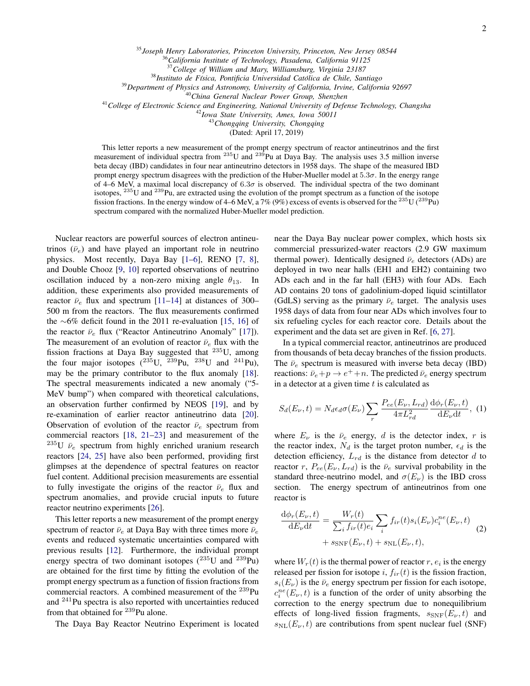<sup>35</sup>*Joseph Henry Laboratories, Princeton University, Princeton, New Jersey 08544*

<sup>36</sup>*California Institute of Technology, Pasadena, California 91125*

<sup>37</sup>*College of William and Mary, Williamsburg, Virginia 23187*

<sup>38</sup>*Instituto de F´ısica, Pontificia Universidad Catolica de Chile, Santiago ´*

<sup>39</sup>*Department of Physics and Astronomy, University of California, Irvine, California 92697*

<sup>40</sup>*China General Nuclear Power Group, Shenzhen*

<sup>41</sup>*College of Electronic Science and Engineering, National University of Defense Technology, Changsha*

<sup>42</sup>*Iowa State University, Ames, Iowa 50011*

<sup>43</sup>*Chongqing University, Chongqing*

(Dated: April 17, 2019)

This letter reports a new measurement of the prompt energy spectrum of reactor antineutrinos and the first measurement of individual spectra from  $^{235}$ U and  $^{239}$ Pu at Daya Bay. The analysis uses 3.5 million inverse beta decay (IBD) candidates in four near antineutrino detectors in 1958 days. The shape of the measured IBD prompt energy spectrum disagrees with the prediction of the Huber-Mueller model at  $5.3\sigma$ . In the energy range of 4–6 MeV, a maximal local discrepancy of  $6.3\sigma$  is observed. The individual spectra of the two dominant isotopes, <sup>235</sup>U and <sup>239</sup>Pu, are extracted using the evolution of the prompt spectrum as a function of the isotope fission fractions. In the energy window of 4–6 MeV, a 7% (9%) excess of events is observed for the <sup>235</sup>U (<sup>239</sup>Pu) spectrum compared with the normalized Huber-Mueller model prediction.

Nuclear reactors are powerful sources of electron antineutrinos  $(\bar{\nu}_e)$  and have played an important role in neutrino physics. Most recently, Daya Bay [\[1](#page-5-1)[–6\]](#page-5-2), RENO [\[7,](#page-5-3) [8\]](#page-5-4), and Double Chooz [\[9,](#page-5-5) [10\]](#page-5-6) reported observations of neutrino oscillation induced by a non-zero mixing angle  $\theta_{13}$ . In addition, these experiments also provided measurements of reactor  $\bar{\nu}_e$  flux and spectrum [\[11–](#page-5-7)[14\]](#page-5-8) at distances of 300– 500 m from the reactors. The flux measurements confirmed the ∼6% deficit found in the 2011 re-evaluation [\[15,](#page-5-9) [16\]](#page-5-10) of the reactor  $\bar{\nu}_e$  flux ("Reactor Antineutrino Anomaly" [\[17\]](#page-5-11)). The measurement of an evolution of reactor  $\bar{\nu}_e$  flux with the fission fractions at Daya Bay suggested that <sup>235</sup>U, among the four major isotopes  $(^{235}U, ^{239}Pu, ^{238}U$  and  $^{241}Pu$ ), may be the primary contributor to the flux anomaly [\[18\]](#page-5-12). The spectral measurements indicated a new anomaly ("5- MeV bump") when compared with theoretical calculations, an observation further confirmed by NEOS [\[19\]](#page-5-13), and by re-examination of earlier reactor antineutrino data [\[20\]](#page-5-14). Observation of evolution of the reactor  $\bar{\nu}_e$  spectrum from commercial reactors [\[18,](#page-5-12) [21](#page-5-15)[–23\]](#page-5-16) and measurement of the <sup>235</sup>U  $\bar{\nu}_e$  spectrum from highly enriched uranium research reactors [\[24,](#page-5-17) [25\]](#page-5-18) have also been performed, providing first glimpses at the dependence of spectral features on reactor fuel content. Additional precision measurements are essential to fully investigate the origins of the reactor  $\bar{\nu}_e$  flux and spectrum anomalies, and provide crucial inputs to future reactor neutrino experiments [\[26\]](#page-5-19).

This letter reports a new measurement of the prompt energy spectrum of reactor  $\bar{\nu}_e$  at Daya Bay with three times more  $\bar{\nu}_e$ events and reduced systematic uncertainties compared with previous results [\[12\]](#page-5-20). Furthermore, the individual prompt energy spectra of two dominant isotopes  $(^{235}U$  and  $^{239}Pu)$ are obtained for the first time by fitting the evolution of the prompt energy spectrum as a function of fission fractions from commercial reactors. A combined measurement of the <sup>239</sup>Pu and <sup>241</sup>Pu spectra is also reported with uncertainties reduced from that obtained for <sup>239</sup>Pu alone.

The Daya Bay Reactor Neutrino Experiment is located

near the Daya Bay nuclear power complex, which hosts six commercial pressurized-water reactors (2.9 GW maximum thermal power). Identically designed  $\bar{\nu}_e$  detectors (ADs) are deployed in two near halls (EH1 and EH2) containing two ADs each and in the far hall (EH3) with four ADs. Each AD contains 20 tons of gadolinium-doped liquid scintillator (GdLS) serving as the primary  $\bar{\nu}_e$  target. The analysis uses 1958 days of data from four near ADs which involves four to six refueling cycles for each reactor core. Details about the experiment and the data set are given in Ref. [\[6,](#page-5-2) [27\]](#page-5-21).

In a typical commercial reactor, antineutrinos are produced from thousands of beta decay branches of the fission products. The  $\bar{\nu}_e$  spectrum is measured with inverse beta decay (IBD) reactions:  $\bar{\nu}_e + p \rightarrow e^+ + n$ . The predicted  $\bar{\nu}_e$  energy spectrum in a detector at a given time  $t$  is calculated as

<span id="page-1-1"></span>
$$
S_d(E_{\nu},t) = N_d \epsilon_d \sigma(E_{\nu}) \sum_r \frac{P_{ee}(E_{\nu},L_{rd})}{4\pi L_{rd}^2} \frac{d\phi_r(E_{\nu},t)}{dE_{\nu}dt},
$$
(1)

where  $E_{\nu}$  is the  $\bar{\nu}_e$  energy, d is the detector index, r is the reactor index,  $N_d$  is the target proton number,  $\epsilon_d$  is the detection efficiency,  $L_{rd}$  is the distance from detector d to reactor r,  $P_{ee}(E_{\nu}, L_{rd})$  is the  $\bar{\nu}_e$  survival probability in the standard three-neutrino model, and  $\sigma(E_{\nu})$  is the IBD cross section. The energy spectrum of antineutrinos from one reactor is

<span id="page-1-0"></span>
$$
\frac{\mathrm{d}\phi_r(E_\nu, t)}{\mathrm{d}E_\nu \mathrm{d}t} = \frac{W_r(t)}{\sum_i f_{ir}(t)e_i} \sum_i f_{ir}(t)s_i(E_\nu) c_i^{ne}(E_\nu, t) + s_{\text{SNF}}(E_\nu, t) + s_{\text{NL}}(E_\nu, t), \tag{2}
$$

where  $W_r(t)$  is the thermal power of reactor  $r, e_i$  is the energy released per fission for isotope i,  $f_{ir}(t)$  is the fission fraction,  $s_i(E_\nu)$  is the  $\bar{\nu}_e$  energy spectrum per fission for each isotope,  $c_i^{ne}(E_\nu, t)$  is a function of the order of unity absorbing the correction to the energy spectrum due to nonequilibrium effects of long-lived fission fragments,  $s_{SNF}(E_{\nu}, t)$  and  $s_{\text{NL}}(E_{\nu}, t)$  are contributions from spent nuclear fuel (SNF)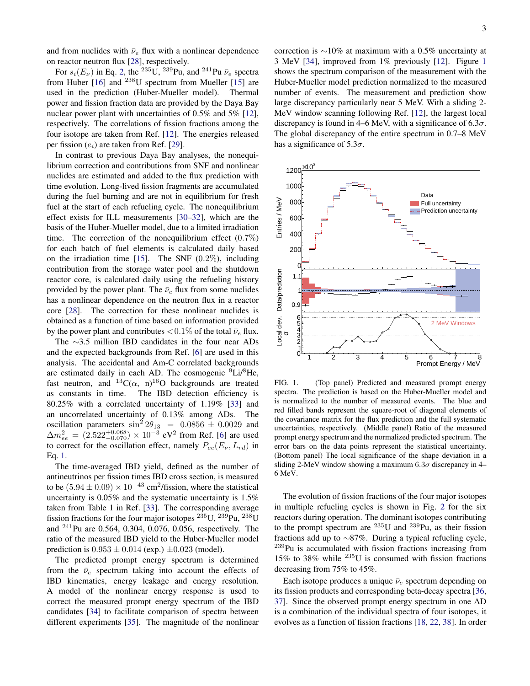and from nuclides with  $\bar{\nu}_e$  flux with a nonlinear dependence on reactor neutron flux [\[28\]](#page-5-22), respectively.

For  $s_i(E_\nu)$  in Eq. [2,](#page-1-0) the <sup>235</sup>U, <sup>239</sup>Pu, and <sup>241</sup>Pu  $\bar{\nu}_e$  spectra from Huber  $[16]$  and <sup>238</sup>U spectrum from Mueller  $[15]$  are used in the prediction (Huber-Mueller model). Thermal power and fission fraction data are provided by the Daya Bay nuclear power plant with uncertainties of 0.5% and 5% [\[12\]](#page-5-20), respectively. The correlations of fission fractions among the four isotope are taken from Ref. [\[12\]](#page-5-20). The energies released per fission  $(e_i)$  are taken from Ref. [\[29\]](#page-5-23).

In contrast to previous Daya Bay analyses, the nonequilibrium correction and contributions from SNF and nonlinear nuclides are estimated and added to the flux prediction with time evolution. Long-lived fission fragments are accumulated during the fuel burning and are not in equilibrium for fresh fuel at the start of each refueling cycle. The nonequilibrium effect exists for ILL measurements [\[30–](#page-5-24)[32\]](#page-6-0), which are the basis of the Huber-Mueller model, due to a limited irradiation time. The correction of the nonequilibrium effect  $(0.7\%)$ for each batch of fuel elements is calculated daily based on the irradiation time  $[15]$ . The SNF  $(0.2\%)$ , including contribution from the storage water pool and the shutdown reactor core, is calculated daily using the refueling history provided by the power plant. The  $\bar{\nu}_e$  flux from some nuclides has a nonlinear dependence on the neutron flux in a reactor core [\[28\]](#page-5-22). The correction for these nonlinear nuclides is obtained as a function of time based on information provided by the power plant and contributes  $< 0.1\%$  of the total  $\bar{\nu}_e$  flux.

The ∼3.5 million IBD candidates in the four near ADs and the expected backgrounds from Ref. [\[6\]](#page-5-2) are used in this analysis. The accidental and Am-C correlated backgrounds are estimated daily in each AD. The cosmogenic  ${}^{9}Li/{}^{8}He$ , fast neutron, and  ${}^{13}C(\alpha, n){}^{16}O$  backgrounds are treated as constants in time. The IBD detection efficiency is 80.25% with a correlated uncertainty of 1.19% [\[33\]](#page-6-1) and an uncorrelated uncertainty of 0.13% among ADs. The oscillation parameters  $\sin^2 2\theta_{13} = 0.0856 \pm 0.0029$  and  $\Delta m_{ee}^2 = (2.522^{+0.068}_{-0.070}) \times 10^{-3}$  eV<sup>2</sup> from Ref. [\[6\]](#page-5-2) are used to correct for the oscillation effect, namely  $P_{ee}(E_{\nu}, L_{rd})$  in Eq. [1.](#page-1-1)

The time-averaged IBD yield, defined as the number of antineutrinos per fission times IBD cross section, is measured to be  $(5.94 \pm 0.09) \times 10^{-43}$  cm<sup>2</sup>/fission, where the statistical uncertainty is 0.05% and the systematic uncertainty is 1.5% taken from Table 1 in Ref. [\[33\]](#page-6-1). The corresponding average fission fractions for the four major isotopes  $^{235}$ U,  $^{239}$ Pu,  $^{238}$ U and <sup>241</sup>Pu are 0.564, 0.304, 0.076, 0.056, respectively. The ratio of the measured IBD yield to the Huber-Mueller model prediction is  $0.953 \pm 0.014$  (exp.)  $\pm 0.023$  (model).

The predicted prompt energy spectrum is determined from the  $\bar{\nu}_e$  spectrum taking into account the effects of IBD kinematics, energy leakage and energy resolution. A model of the nonlinear energy response is used to correct the measured prompt energy spectrum of the IBD candidates [\[34\]](#page-6-2) to facilitate comparison of spectra between different experiments [\[35\]](#page-6-3). The magnitude of the nonlinear

correction is ∼10% at maximum with a 0.5% uncertainty at 3 MeV [\[34\]](#page-6-2), improved from 1% previously [\[12\]](#page-5-20). Figure [1](#page-2-0) shows the spectrum comparison of the measurement with the Huber-Mueller model prediction normalized to the measured number of events. The measurement and prediction show large discrepancy particularly near 5 MeV. With a sliding 2- MeV window scanning following Ref. [\[12\]](#page-5-20), the largest local discrepancy is found in 4–6 MeV, with a significance of  $6.3\sigma$ . The global discrepancy of the entire spectrum in 0.7–8 MeV has a significance of  $5.3\sigma$ .



<span id="page-2-0"></span>FIG. 1. (Top panel) Predicted and measured prompt energy spectra. The prediction is based on the Huber-Mueller model and is normalized to the number of measured events. The blue and red filled bands represent the square-root of diagonal elements of the covariance matrix for the flux prediction and the full systematic uncertainties, respectively. (Middle panel) Ratio of the measured prompt energy spectrum and the normalized predicted spectrum. The error bars on the data points represent the statistical uncertainty. (Bottom panel) The local significance of the shape deviation in a sliding 2-MeV window showing a maximum  $6.3\sigma$  discrepancy in 4– 6 MeV.

The evolution of fission fractions of the four major isotopes in multiple refueling cycles is shown in Fig. [2](#page-3-0) for the six reactors during operation. The dominant isotopes contributing to the prompt spectrum are  $^{235}$ U and  $^{239}$ Pu, as their fission fractions add up to ∼87%. During a typical refueling cycle, <sup>239</sup>Pu is accumulated with fission fractions increasing from 15% to 38% while  $^{235}$ U is consumed with fission fractions decreasing from 75% to 45%.

Each isotope produces a unique  $\bar{\nu}_e$  spectrum depending on its fission products and corresponding beta-decay spectra [\[36,](#page-6-4) [37\]](#page-6-5). Since the observed prompt energy spectrum in one AD is a combination of the individual spectra of four isotopes, it evolves as a function of fission fractions [\[18,](#page-5-12) [22,](#page-5-25) [38\]](#page-6-6). In order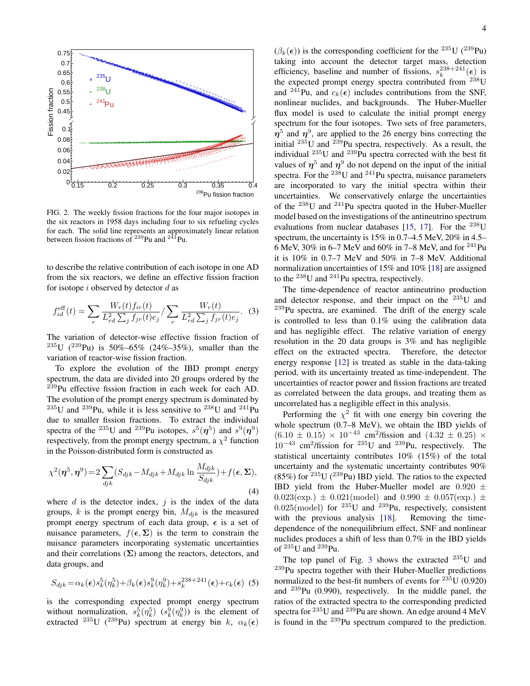

<span id="page-3-0"></span>FIG. 2. The weekly fission fractions for the four major isotopes in the six reactors in 1958 days including four to six refueling cycles for each. The solid line represents an approximately linear relation between fission fractions of  $239$ Pu and  $241$ Pu.

to describe the relative contribution of each isotope in one AD from the six reactors, we define an effective fission fraction for isotope  $i$  observed by detector  $d$  as

$$
f_{id}^{\text{eff}}(t) = \sum_{r} \frac{W_r(t) f_{ir}(t)}{L_{rd}^2 \sum_{j} f_{jr}(t) e_j} / \sum_{r} \frac{W_r(t)}{L_{rd}^2 \sum_{j} f_{jr}(t) e_j}.
$$
 (3)

The variation of detector-wise effective fission fraction of  $^{235}$ U ( $^{239}$ Pu) is 50%–65% (24%–35%), smaller than the variation of reactor-wise fission fraction.

To explore the evolution of the IBD prompt energy spectrum, the data are divided into 20 groups ordered by the  $239$ Pu effective fission fraction in each week for each AD. The evolution of the prompt energy spectrum is dominated by  $^{235}$ U and  $^{239}$ Pu, while it is less sensitive to  $^{238}$ U and  $^{241}$ Pu due to smaller fission fractions. To extract the individual spectra of the <sup>235</sup>U and <sup>239</sup>Pu isotopes,  $s^5(\eta^5)$  and  $s^9(\eta^9)$ respectively, from the prompt energy spectrum, a  $\chi^2$  function in the Poisson-distributed form is constructed as

$$
\chi^2(\boldsymbol{\eta}^5, \boldsymbol{\eta}^9) = 2 \sum_{djk} (S_{djk} - M_{djk} + M_{djk} \ln \frac{M_{djk}}{S_{djk}}) + f(\epsilon, \Sigma),
$$
\n(4)

where  $d$  is the detector index,  $j$  is the index of the data groups, k is the prompt energy bin,  $M_{djk}$  is the measured prompt energy spectrum of each data group,  $\epsilon$  is a set of nuisance parameters,  $f(\epsilon, \Sigma)$  is the term to constrain the nuisance parameters incorporating systematic uncertainties and their correlations  $(\Sigma)$  among the reactors, detectors, and data groups, and

$$
S_{djk} = \alpha_k(\epsilon) s_k^5(\eta_k^5) + \beta_k(\epsilon) s_k^9(\eta_k^9) + s_k^{238+241}(\epsilon) + c_k(\epsilon)
$$
 (5)

is the corresponding expected prompt energy spectrum without normalization,  $s_k^5(\eta_k^5)$   $(s_k^9(\eta_k^9))$  is the element of extracted <sup>235</sup>U (<sup>239</sup>Pu) spectrum at energy bin k,  $\alpha_k(\epsilon)$ 

 $(\beta_k(\epsilon))$  is the corresponding coefficient for the <sup>235</sup>U (<sup>239</sup>Pu) taking into account the detector target mass, detection efficiency, baseline and number of fissions,  $s_k^{238+241}(\epsilon)$  is the expected prompt energy spectra contributed from <sup>238</sup>U and <sup>241</sup>Pu, and  $c_k(\epsilon)$  includes contributions from the SNF, nonlinear nuclides, and backgrounds. The Huber-Mueller flux model is used to calculate the initial prompt energy spectrum for the four isotopes. Two sets of free parameters,  $\eta^5$  and  $\eta^9$ , are applied to the 26 energy bins correcting the initial  $^{235}$ U and  $^{239}$ Pu spectra, respectively. As a result, the individual <sup>235</sup>U and <sup>239</sup>Pu spectra corrected with the best fit values of  $\eta^5$  and  $\eta^9$  do not depend on the input of the initial spectra. For the  $^{238}$ U and  $^{241}$ Pu spectra, nuisance parameters are incorporated to vary the initial spectra within their uncertainties. We conservatively enlarge the uncertainties of the <sup>238</sup>U and <sup>241</sup>Pu spectra quoted in the Huber-Mueller model based on the investigations of the antineutrino spectrum evaluations from nuclear databases [\[15,](#page-5-9) [17\]](#page-5-11). For the  $^{238}$ U spectrum, the uncertainty is 15% in 0.7–4.5 MeV, 20% in 4.5– 6 MeV, 30% in 6–7 MeV and 60% in 7–8 MeV, and for <sup>241</sup>Pu it is 10% in 0.7–7 MeV and 50% in 7–8 MeV. Additional normalization uncertainties of 15% and 10% [\[18\]](#page-5-12) are assigned to the  $^{238}$ U and  $^{241}$ Pu spectra, respectively.

The time-dependence of reactor antineutrino production and detector response, and their impact on the <sup>235</sup>U and <sup>239</sup>Pu spectra, are examined. The drift of the energy scale is controlled to less than 0.1% using the calibration data and has negligible effect. The relative variation of energy resolution in the 20 data groups is 3% and has negligible effect on the extracted spectra. Therefore, the detector energy response [\[12\]](#page-5-20) is treated as stable in the data-taking period, with its uncertainty treated as time-independent. The uncertainties of reactor power and fission fractions are treated as correlated between the data groups, and treating them as uncorrelated has a negligible effect in this analysis.

Performing the  $\chi^2$  fit with one energy bin covering the whole spectrum (0.7–8 MeV), we obtain the IBD yields of  $(6.10 \pm 0.15) \times 10^{-43}$  cm<sup>2</sup>/fission and  $(4.32 \pm 0.25) \times$ 10<sup>−</sup><sup>43</sup> cm<sup>2</sup> /fission for <sup>235</sup>U and <sup>239</sup>Pu, respectively. The statistical uncertainty contributes 10% (15%) of the total uncertainty and the systematic uncertainty contributes 90% (85%) for  $^{235}$ U ( $^{239}$ Pu) IBD yield. The ratios to the expected IBD yield from the Huber-Mueller model are  $0.920 \pm$  $0.023(\text{exp.}) \pm 0.021(\text{model})$  and  $0.990 \pm 0.057(\text{exp.}) \pm 0.023(\text{exp.})$  $0.025 \text{(model)}$  for  $^{235}$ U and  $^{239}$ Pu, respectively, consistent with the previous analysis [\[18\]](#page-5-12). Removing the timedependence of the nonequilibrium effect, SNF and nonlinear nuclides produces a shift of less than 0.7% in the IBD yields of  $^{235}$ U and  $^{239}$ Pu.

The top panel of Fig. [3](#page-4-0) shows the extracted  $^{235}$ U and <sup>239</sup>Pu spectra together with their Huber-Mueller predictions normalized to the best-fit numbers of events for  $^{235}$ U (0.920) and <sup>239</sup>Pu (0.990), respectively. In the middle panel, the ratios of the extracted spectra to the corresponding predicted spectra for <sup>235</sup>U and <sup>239</sup>Pu are shown. An edge around 4 MeV is found in the <sup>239</sup>Pu spectrum compared to the prediction.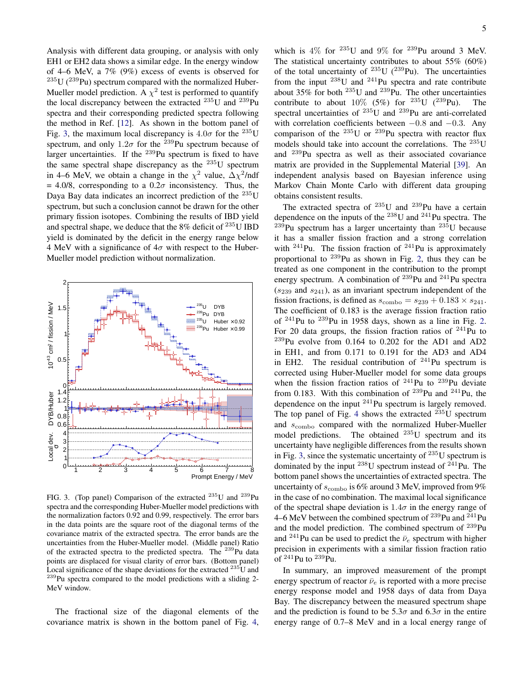Analysis with different data grouping, or analysis with only EH1 or EH2 data shows a similar edge. In the energy window of 4–6 MeV, a 7% (9%) excess of events is observed for  $^{235}$ U ( $^{239}$ Pu) spectrum compared with the normalized Huber-Mueller model prediction. A  $\chi^2$  test is performed to quantify the local discrepancy between the extracted  $^{235}$ U and  $^{239}$ Pu spectra and their corresponding predicted spectra following the method in Ref. [\[12\]](#page-5-20). As shown in the bottom panel of Fig. [3,](#page-4-0) the maximum local discrepancy is  $4.0\sigma$  for the <sup>235</sup>U spectrum, and only  $1.2\sigma$  for the <sup>239</sup>Pu spectrum because of larger uncertainties. If the <sup>239</sup>Pu spectrum is fixed to have the same spectral shape discrepancy as the  $^{235}$ U spectrum in 4–6 MeV, we obtain a change in the  $\chi^2$  value,  $\Delta \chi^2$ /ndf  $= 4.0/8$ , corresponding to a  $0.2\sigma$  inconsistency. Thus, the Daya Bay data indicates an incorrect prediction of the <sup>235</sup>U spectrum, but such a conclusion cannot be drawn for the other primary fission isotopes. Combining the results of IBD yield and spectral shape, we deduce that the  $8\%$  deficit of  $^{235}$ U IBD yield is dominated by the deficit in the energy range below 4 MeV with a significance of  $4\sigma$  with respect to the Huber-Mueller model prediction without normalization.



<span id="page-4-0"></span>FIG. 3. (Top panel) Comparison of the extracted <sup>235</sup>U and <sup>239</sup>Pu spectra and the corresponding Huber-Mueller model predictions with the normalization factors 0.92 and 0.99, respectively. The error bars in the data points are the square root of the diagonal terms of the covariance matrix of the extracted spectra. The error bands are the uncertainties from the Huber-Mueller model. (Middle panel) Ratio of the extracted spectra to the predicted spectra. The <sup>239</sup>Pu data points are displaced for visual clarity of error bars. (Bottom panel) Local significance of the shape deviations for the extracted  $^{235}$ U and <sup>239</sup>Pu spectra compared to the model predictions with a sliding 2-MeV window.

The fractional size of the diagonal elements of the covariance matrix is shown in the bottom panel of Fig. [4,](#page-5-26)

which is  $4\%$  for  $235$ U and  $9\%$  for  $239$ Pu around 3 MeV. The statistical uncertainty contributes to about 55% (60%) of the total uncertainty of  $^{235}$ U ( $^{239}$ Pu). The uncertainties from the input  $^{238}$ U and  $^{241}$ Pu spectra and rate contribute about 35% for both  $^{235}$ U and  $^{239}$ Pu. The other uncertainties contribute to about  $10\%$  (5%) for <sup>235</sup>U (<sup>239</sup>Pu). spectral uncertainties of  $^{235}$ U and  $^{239}$ Pu are anti-correlated with correlation coefficients between  $-0.8$  and  $-0.3$ . Any comparison of the  $^{235}$ U or  $^{239}$ Pu spectra with reactor flux models should take into account the correlations. The <sup>235</sup>U and <sup>239</sup>Pu spectra as well as their associated covariance matrix are provided in the Supplemental Material [\[39\]](#page-6-7). An independent analysis based on Bayesian inference using Markov Chain Monte Carlo with different data grouping obtains consistent results.

The extracted spectra of <sup>235</sup>U and <sup>239</sup>Pu have a certain dependence on the inputs of the <sup>238</sup>U and <sup>241</sup>Pu spectra. The  $^{239}$ Pu spectrum has a larger uncertainty than  $^{235}$ U because it has a smaller fission fraction and a strong correlation with  $^{241}$ Pu. The fission fraction of  $^{241}$ Pu is approximately proportional to <sup>239</sup>Pu as shown in Fig. [2,](#page-3-0) thus they can be treated as one component in the contribution to the prompt energy spectrum. A combination of  $^{239}$ Pu and  $^{241}$ Pu spectra  $(s_{239}$  and  $s_{241}$ ), as an invariant spectrum independent of the fission fractions, is defined as  $s_{\text{comb}} = s_{239} + 0.183 \times s_{241}$ . The coefficient of 0.183 is the average fission fraction ratio of  $241$ Pu to  $239$ Pu in 1958 days, shown as a line in Fig. [2.](#page-3-0) For 20 data groups, the fission fraction ratios of  $^{241}$ Pu to <sup>239</sup>Pu evolve from 0.164 to 0.202 for the AD1 and AD2 in EH1, and from 0.171 to 0.191 for the AD3 and AD4 in EH2. The residual contribution of  $241$ Pu spectrum is corrected using Huber-Mueller model for some data groups when the fission fraction ratios of  $^{241}$ Pu to  $^{239}$ Pu deviate from 0.183. With this combination of  $^{239}$ Pu and  $^{241}$ Pu, the dependence on the input  $241$ Pu spectrum is largely removed. The top panel of Fig. [4](#page-5-26) shows the extracted  $^{235}$ U spectrum and scombo compared with the normalized Huber-Mueller model predictions. The obtained  $^{235}$ U spectrum and its uncertainty have negligible differences from the results shown in Fig. [3,](#page-4-0) since the systematic uncertainty of  $^{235}$ U spectrum is dominated by the input  $^{238}$ U spectrum instead of  $^{241}$ Pu. The bottom panel shows the uncertainties of extracted spectra. The uncertainty of  $s_{\rm comb}$  is 6% around 3 MeV, improved from 9% in the case of no combination. The maximal local significance of the spectral shape deviation is  $1.4\sigma$  in the energy range of 4–6 MeV between the combined spectrum of  $^{239}$ Pu and  $^{241}$ Pu and the model prediction. The combined spectrum of  $^{239}$ Pu and <sup>241</sup>Pu can be used to predict the  $\bar{\nu}_e$  spectrum with higher precision in experiments with a similar fission fraction ratio of  $^{241}$ Pu to  $^{239}$ Pu.

In summary, an improved measurement of the prompt energy spectrum of reactor  $\bar{\nu}_e$  is reported with a more precise energy response model and 1958 days of data from Daya Bay. The discrepancy between the measured spectrum shape and the prediction is found to be  $5.3\sigma$  and  $6.3\sigma$  in the entire energy range of 0.7–8 MeV and in a local energy range of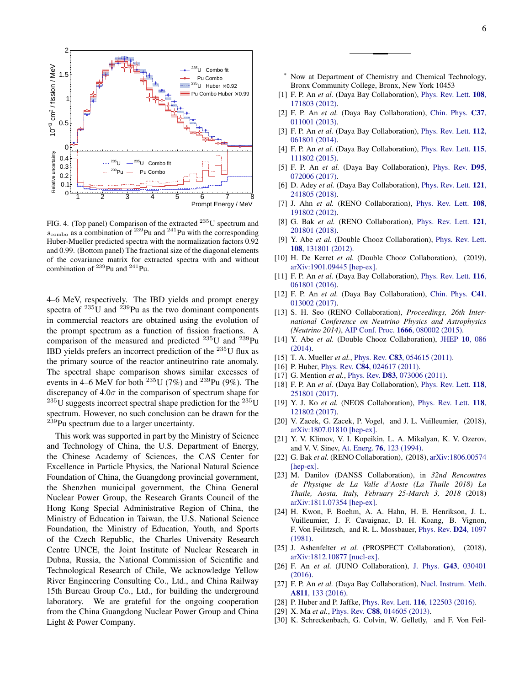

<span id="page-5-26"></span>FIG. 4. (Top panel) Comparison of the extracted <sup>235</sup>U spectrum and  $s<sub>comb</sub>$  as a combination of <sup>239</sup>Pu and <sup>241</sup>Pu with the corresponding Huber-Mueller predicted spectra with the normalization factors 0.92 and 0.99. (Bottom panel) The fractional size of the diagonal elements of the covariance matrix for extracted spectra with and without combination of <sup>239</sup>Pu and <sup>241</sup>Pu.

4–6 MeV, respectively. The IBD yields and prompt energy spectra of  $^{235}$ U and  $^{239}$ Pu as the two dominant components in commercial reactors are obtained using the evolution of the prompt spectrum as a function of fission fractions. A comparison of the measured and predicted  $^{235}$ U and  $^{239}$ Pu IBD yields prefers an incorrect prediction of the  $^{235}$ U flux as the primary source of the reactor antineutrino rate anomaly. The spectral shape comparison shows similar excesses of events in 4–6 MeV for both <sup>235</sup>U (7%) and <sup>239</sup>Pu (9%). The discrepancy of  $4.0\sigma$  in the comparison of spectrum shape for  $^{235}$ U suggests incorrect spectral shape prediction for the  $^{235}$ U spectrum. However, no such conclusion can be drawn for the <sup>239</sup>Pu spectrum due to a larger uncertainty.

This work was supported in part by the Ministry of Science and Technology of China, the U.S. Department of Energy, the Chinese Academy of Sciences, the CAS Center for Excellence in Particle Physics, the National Natural Science Foundation of China, the Guangdong provincial government, the Shenzhen municipal government, the China General Nuclear Power Group, the Research Grants Council of the Hong Kong Special Administrative Region of China, the Ministry of Education in Taiwan, the U.S. National Science Foundation, the Ministry of Education, Youth, and Sports of the Czech Republic, the Charles University Research Centre UNCE, the Joint Institute of Nuclear Research in Dubna, Russia, the National Commission of Scientific and Technological Research of Chile, We acknowledge Yellow River Engineering Consulting Co., Ltd., and China Railway 15th Bureau Group Co., Ltd., for building the underground laboratory. We are grateful for the ongoing cooperation from the China Guangdong Nuclear Power Group and China Light & Power Company.

- <span id="page-5-0"></span>Now at Department of Chemistry and Chemical Technology, Bronx Community College, Bronx, New York 10453
- <span id="page-5-1"></span>[1] F. P. An *et al.* (Daya Bay Collaboration), [Phys. Rev. Lett.](http://dx.doi.org/10.1103/PhysRevLett.108.171803) 108, [171803 \(2012\).](http://dx.doi.org/10.1103/PhysRevLett.108.171803)
- [2] F. P. An *et al.* (Daya Bay Collaboration), [Chin. Phys.](http://dx.doi.org/10.1088/1674-1137/37/1/011001) C37, [011001 \(2013\).](http://dx.doi.org/10.1088/1674-1137/37/1/011001)
- [3] F. P. An et al. (Daya Bay Collaboration), [Phys. Rev. Lett.](http://dx.doi.org/10.1103/PhysRevLett.112.061801) 112, [061801 \(2014\).](http://dx.doi.org/10.1103/PhysRevLett.112.061801)
- [4] F. P. An *et al.* (Daya Bay Collaboration), [Phys. Rev. Lett.](http://dx.doi.org/10.1103/PhysRevLett.115.111802) **115**, [111802 \(2015\).](http://dx.doi.org/10.1103/PhysRevLett.115.111802)
- [5] F. P. An *et al.* (Daya Bay Collaboration), [Phys. Rev.](http://dx.doi.org/10.1103/PhysRevD.95.072006) D95, [072006 \(2017\).](http://dx.doi.org/10.1103/PhysRevD.95.072006)
- <span id="page-5-2"></span>[6] D. Adey *et al.* (Daya Bay Collaboration), [Phys. Rev. Lett.](http://dx.doi.org/10.1103/PhysRevLett.121.241805) 121, [241805 \(2018\).](http://dx.doi.org/10.1103/PhysRevLett.121.241805)
- <span id="page-5-3"></span>[7] J. Ahn *et al.* (RENO Collaboration), [Phys. Rev. Lett.](http://dx.doi.org/10.1103/PhysRevLett.108.191802) 108, [191802 \(2012\).](http://dx.doi.org/10.1103/PhysRevLett.108.191802)
- <span id="page-5-4"></span>[8] G. Bak *et al.* (RENO Collaboration), [Phys. Rev. Lett.](http://dx.doi.org/10.1103/PhysRevLett.121.201801) 121, [201801 \(2018\).](http://dx.doi.org/10.1103/PhysRevLett.121.201801)
- <span id="page-5-5"></span>[9] Y. Abe *et al.* (Double Chooz Collaboration), [Phys. Rev. Lett.](http://dx.doi.org/10.1103/PhysRevLett.108.131801) 108[, 131801 \(2012\).](http://dx.doi.org/10.1103/PhysRevLett.108.131801)
- <span id="page-5-6"></span>[10] H. De Kerret *et al.* (Double Chooz Collaboration), (2019), [arXiv:1901.09445 \[hep-ex\].](http://arxiv.org/abs/1901.09445)
- <span id="page-5-7"></span>[11] F. P. An *et al.* (Daya Bay Collaboration), [Phys. Rev. Lett.](http://dx.doi.org/10.1103/PhysRevLett.116.061801) 116, [061801 \(2016\).](http://dx.doi.org/10.1103/PhysRevLett.116.061801)
- <span id="page-5-20"></span>[12] F. P. An *et al.* (Daya Bay Collaboration), [Chin. Phys.](http://dx.doi.org/10.1088/1674-1137/41/1/013002) C41, [013002 \(2017\).](http://dx.doi.org/10.1088/1674-1137/41/1/013002)
- [13] S. H. Seo (RENO Collaboration), *Proceedings, 26th International Conference on Neutrino Physics and Astrophysics (Neutrino 2014)*, AIP Conf. Proc. 1666[, 080002 \(2015\).](http://dx.doi.org/10.1063/1.4915563)
- <span id="page-5-8"></span>[14] Y. Abe *et al.* (Double Chooz Collaboration), [JHEP](http://dx.doi.org/10.1007/JHEP02(2015)074, 10.1007/JHEP10(2014)086) 10, 086 [\(2014\).](http://dx.doi.org/10.1007/JHEP02(2015)074, 10.1007/JHEP10(2014)086)
- <span id="page-5-9"></span>[15] T. A. Mueller *et al.*, *Phys. Rev. C83[, 054615 \(2011\).](http://dx.doi.org/10.1103/PhysRevC.83.054615)*
- <span id="page-5-10"></span>[16] P. Huber, Phys. Rev. **C84**[, 024617 \(2011\).](http://dx.doi.org/10.1103/PhysRevC.85.029901, 10.1103/PhysRevC.84.024617)
- <span id="page-5-11"></span>[17] G. Mention *et al.*, Phys. Rev. **D83**[, 073006 \(2011\).](http://dx.doi.org/10.1103/PhysRevD.83.073006)
- <span id="page-5-12"></span>[18] F. P. An *et al.* (Daya Bay Collaboration), [Phys. Rev. Lett.](http://dx.doi.org/10.1103/PhysRevLett.118.251801) 118, [251801 \(2017\).](http://dx.doi.org/10.1103/PhysRevLett.118.251801)
- <span id="page-5-13"></span>[19] Y. J. Ko *et al.* (NEOS Collaboration), [Phys. Rev. Lett.](http://dx.doi.org/10.1103/PhysRevLett.118.121802) 118, [121802 \(2017\).](http://dx.doi.org/10.1103/PhysRevLett.118.121802)
- <span id="page-5-14"></span>[20] V. Zacek, G. Zacek, P. Vogel, and J. L. Vuilleumier, (2018), [arXiv:1807.01810 \[hep-ex\].](http://arxiv.org/abs/1807.01810)
- <span id="page-5-15"></span>Y. V. Klimov, V. I. Kopeikin, L. A. Mikalyan, K. V. Ozerov, and V. V. Sinev, At. Energ. 76[, 123 \(1994\).](http://dx.doi.org/10.1007/BF02414355)
- <span id="page-5-25"></span>[22] G. Bak *et al.* (RENO Collaboration), (2018), [arXiv:1806.00574](http://arxiv.org/abs/1806.00574) [\[hep-ex\].](http://arxiv.org/abs/1806.00574)
- <span id="page-5-16"></span>[23] M. Danilov (DANSS Collaboration), in *32nd Rencontres de Physique de La Valle d'Aoste (La Thuile 2018) La Thuile, Aosta, Italy, February 25-March 3, 2018* (2018) [arXiv:1811.07354 \[hep-ex\].](http://arxiv.org/abs/1811.07354)
- <span id="page-5-17"></span>[24] H. Kwon, F. Boehm, A. A. Hahn, H. E. Henrikson, J. L. Vuilleumier, J. F. Cavaignac, D. H. Koang, B. Vignon, F. Von Feilitzsch, and R. L. Mossbauer, [Phys. Rev.](http://dx.doi.org/ 10.1103/PhysRevD.24.1097) D24, 1097 [\(1981\).](http://dx.doi.org/ 10.1103/PhysRevD.24.1097)
- <span id="page-5-18"></span>[25] J. Ashenfelter et al. (PROSPECT Collaboration), (2018), [arXiv:1812.10877 \[nucl-ex\].](http://arxiv.org/abs/1812.10877)
- <span id="page-5-19"></span>[26] F. An *et al.* (JUNO Collaboration), J. Phys. G43[, 030401](http://dx.doi.org/10.1088/0954-3899/43/3/030401) [\(2016\).](http://dx.doi.org/10.1088/0954-3899/43/3/030401)
- <span id="page-5-21"></span>[27] F. P. An *et al.* (Daya Bay Collaboration), [Nucl. Instrum. Meth.](http://dx.doi.org/10.1016/j.nima.2015.11.144) A811[, 133 \(2016\).](http://dx.doi.org/10.1016/j.nima.2015.11.144)
- <span id="page-5-22"></span>[28] P. Huber and P. Jaffke, Phys. Rev. Lett. **116**[, 122503 \(2016\).](http://dx.doi.org/10.1103/PhysRevLett.116.122503)
- <span id="page-5-23"></span>[29] X. Ma *et al.*, Phys. Rev. C88[, 014605 \(2013\).](http://dx.doi.org/10.1103/PhysRevC.88.014605)
- <span id="page-5-24"></span>[30] K. Schreckenbach, G. Colvin, W. Gelletly, and F. Von Feil-